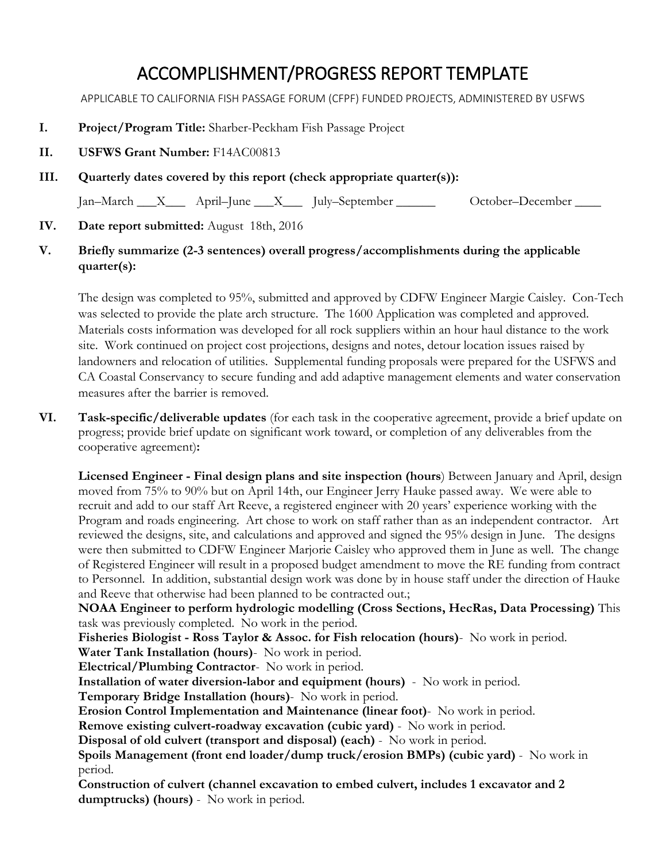## ACCOMPLISHMENT/PROGRESS REPORT TEMPLATE

APPLICABLE TO CALIFORNIA FISH PASSAGE FORUM (CFPF) FUNDED PROJECTS, ADMINISTERED BY USFWS

- **I. Project/Program Title:** Sharber-Peckham Fish Passage Project
- **II. USFWS Grant Number:** F14AC00813
- **III. Quarterly dates covered by this report (check appropriate quarter(s)):**

Jan–March X, April–June X, July–September Cotober–December

- **IV. Date report submitted:** August 18th, 2016
- **V. Briefly summarize (2-3 sentences) overall progress/accomplishments during the applicable quarter(s):**

The design was completed to 95%, submitted and approved by CDFW Engineer Margie Caisley. Con-Tech was selected to provide the plate arch structure. The 1600 Application was completed and approved. Materials costs information was developed for all rock suppliers within an hour haul distance to the work site. Work continued on project cost projections, designs and notes, detour location issues raised by landowners and relocation of utilities. Supplemental funding proposals were prepared for the USFWS and CA Coastal Conservancy to secure funding and add adaptive management elements and water conservation measures after the barrier is removed.

**VI. Task-specific/deliverable updates** (for each task in the cooperative agreement, provide a brief update on progress; provide brief update on significant work toward, or completion of any deliverables from the cooperative agreement)**:**

**Licensed Engineer - Final design plans and site inspection (hours**) Between January and April, design moved from 75% to 90% but on April 14th, our Engineer Jerry Hauke passed away. We were able to recruit and add to our staff Art Reeve, a registered engineer with 20 years' experience working with the Program and roads engineering. Art chose to work on staff rather than as an independent contractor. Art reviewed the designs, site, and calculations and approved and signed the 95% design in June. The designs were then submitted to CDFW Engineer Marjorie Caisley who approved them in June as well. The change of Registered Engineer will result in a proposed budget amendment to move the RE funding from contract to Personnel. In addition, substantial design work was done by in house staff under the direction of Hauke and Reeve that otherwise had been planned to be contracted out.;

**NOAA Engineer to perform hydrologic modelling (Cross Sections, HecRas, Data Processing)** This task was previously completed. No work in the period.

**Fisheries Biologist - Ross Taylor & Assoc. for Fish relocation (hours)**- No work in period.

**Water Tank Installation (hours)**- No work in period.

**Electrical/Plumbing Contractor**- No work in period.

**Installation of water diversion-labor and equipment (hours)** - No work in period.

**Temporary Bridge Installation (hours)**- No work in period.

**Erosion Control Implementation and Maintenance (linear foot)**- No work in period.

**Remove existing culvert-roadway excavation (cubic yard)** - No work in period.

**Disposal of old culvert (transport and disposal) (each)** - No work in period.

**Spoils Management (front end loader/dump truck/erosion BMPs) (cubic yard)** - No work in period.

**Construction of culvert (channel excavation to embed culvert, includes 1 excavator and 2 dumptrucks) (hours)** - No work in period.